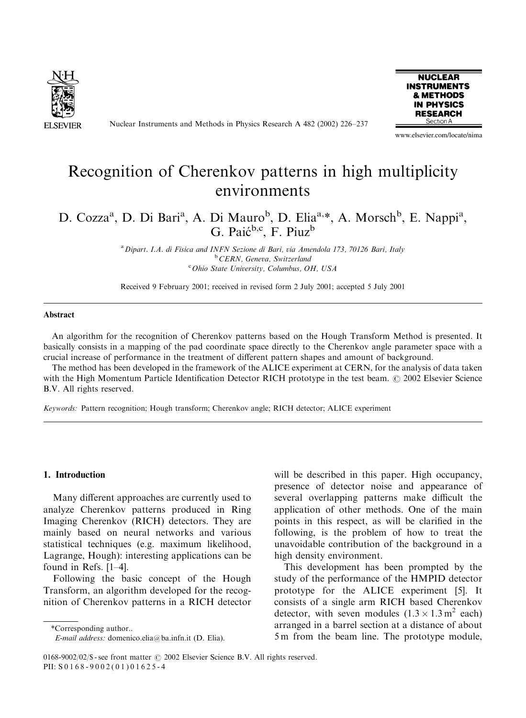

Nuclear Instruments and Methods in Physics Research A 482 (2002) 226–237



www.elsevier.com/locate/nima

# Recognition of Cherenkov patterns in high multiplicity environments

# D. Cozza<sup>a</sup>, D. Di Bari<sup>a</sup>, A. Di Mauro<sup>b</sup>, D. Elia<sup>a,\*</sup>, A. Morsch<sup>b</sup>, E. Nappi<sup>a</sup>, G. Paić<sup>b,c</sup>, F. Piuz<sup>b</sup>

<sup>a</sup> Dipart. I.A. di Fisica and INFN Sezione di Bari, via Amendola 173, 70126 Bari, Italy <sup>b</sup> CERN, Geneva, Switzerland <sup>c</sup> Ohio State University, Columbus, OH, USA

Received 9 February 2001; received in revised form 2 July 2001; accepted 5 July 2001

#### Abstract

An algorithm for the recognition of Cherenkov patterns based on the Hough Transform Method is presented. It basically consists in a mapping of the pad coordinate space directly to the Cherenkov angle parameter space with a crucial increase of performance in the treatment of different pattern shapes and amount of background.

The method has been developed in the framework of the ALICE experiment at CERN, for the analysis of data taken with the High Momentum Particle Identification Detector RICH prototype in the test beam. © 2002 Elsevier Science B.V. All rights reserved.

Keywords: Pattern recognition; Hough transform; Cherenkov angle; RICH detector; ALICE experiment

# 1. Introduction

Many different approaches are currently used to analyze Cherenkov patterns produced in Ring Imaging Cherenkov (RICH) detectors. They are mainly based on neural networks and various statistical techniques (e.g. maximum likelihood, Lagrange, Hough): interesting applications can be found in Refs. [1–4].

Following the basic concept of the Hough Transform, an algorithm developed for the recognition of Cherenkov patterns in a RICH detector

\*Correspondingauthor..

will be described in this paper. High occupancy, presence of detector noise and appearance of several overlapping patterns make difficult the application of other methods. One of the main points in this respect, as will be clarified in the following, is the problem of how to treat the unavoidable contribution of the background in a high density environment.

This development has been prompted by the study of the performance of the HMPID detector prototype for the ALICE experiment [5]. It consists of a single arm RICH based Cherenkov detector, with seven modules  $(1.3 \times 1.3 \text{ m}^2 \text{ each})$ arranged in a barrel section at a distance of about 5 m from the beam line. The prototype module,

E-mail address: domenico.elia@ba.infn.it (D. Elia).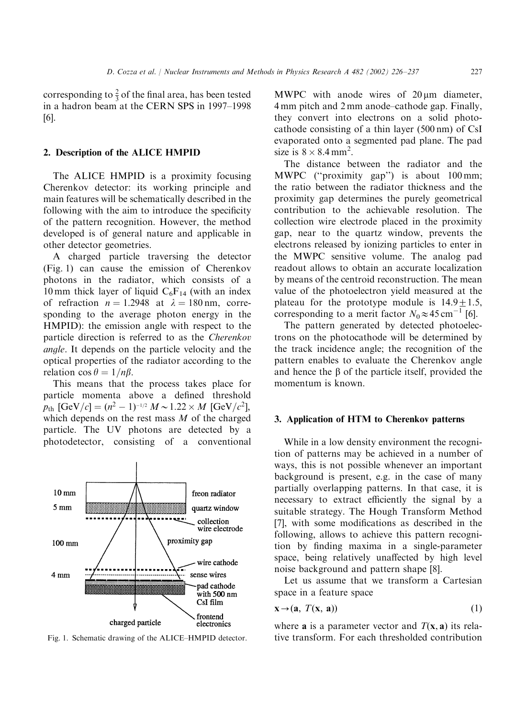corresponding to  $\frac{2}{3}$  of the final area, has been tested in a hadron beam at the CERN SPS in 1997–1998 [6].

# 2. Description of the ALICE HMPID

The ALICE HMPID is a proximity focusing Cherenkov detector: its working principle and main features will be schematically described in the following with the aim to introduce the specificity of the pattern recognition. However, the method developed is of general nature and applicable in other detector geometries.

A charged particle traversing the detector (Fig. 1) can cause the emission of Cherenkov photons in the radiator, which consists of a 10 mm thick layer of liquid  $C_6F_{14}$  (with an index of refraction  $n = 1.2948$  at  $\lambda = 180$  nm, corresponding to the average photon energy in the HMPID): the emission angle with respect to the particle direction is referred to as the Cherenkov angle. It depends on the particle velocity and the optical properties of the radiator according to the relation  $\cos \theta = 1/n\beta$ .

This means that the process takes place for particle momenta above a defined threshold  $p_{\text{th}}$   $\left[ \frac{\text{GeV}}{c} \right] = (n^2 - 1)^{-1/2} M \sim 1.22 \times M$   $\left[ \frac{\text{GeV}}{c^2} \right]$ , which depends on the rest mass  $M$  of the charged particle. The UV photons are detected by a photodetector, consisting of a conventional



MWPC with anode wires of  $20 \mu m$  diameter, 4 mm pitch and 2 mm anode–cathode gap. Finally, they convert into electrons on a solid photocathode consisting of a thin layer  $(500 \text{ nm})$  of CsI evaporated onto a segmented pad plane. The pad size is  $8 \times 8.4$  mm<sup>2</sup>.

The distance between the radiator and the MWPC (''proximity gap'') is about 100 mm; the ratio between the radiator thickness and the proximity gap determines the purely geometrical contribution to the achievable resolution. The collection wire electrode placed in the proximity gap, near to the quartz window, prevents the electrons released by ionizing particles to enter in the MWPC sensitive volume. The analog pad readout allows to obtain an accurate localization by means of the centroid reconstruction. The mean value of the photoelectron yield measured at the plateau for the prototype module is  $14.9 \pm 1.5$ , corresponding to a merit factor  $N_0 \approx 45 \text{ cm}^{-1}$  [6].

The pattern generated by detected photoelectrons on the photocathode will be determined by the track incidence angle; the recognition of the pattern enables to evaluate the Cherenkov angle and hence the  $\beta$  of the particle itself, provided the momentum is known.

# 3. Application of HTM to Cherenkov patterns

While in a low density environment the recognition of patterns may be achieved in a number of ways, this is not possible whenever an important background is present, e.g. in the case of many partially overlapping patterns. In that case, it is necessary to extract efficiently the signal by a suitable strategy. The Hough Transform Method [7], with some modifications as described in the following, allows to achieve this pattern recognition by finding maxima in a single-parameter space, being relatively unaffected by high level noise background and pattern shape [8].

Let us assume that we transform a Cartesian space in a feature space

$$
\mathbf{x} \to (\mathbf{a}, T(\mathbf{x}, \mathbf{a})) \tag{1}
$$

where **a** is a parameter vector and  $T(x, a)$  its rela-Fig. 1. Schematic drawing of the ALICE–HMPID detector. tive transform. For each thresholded contribution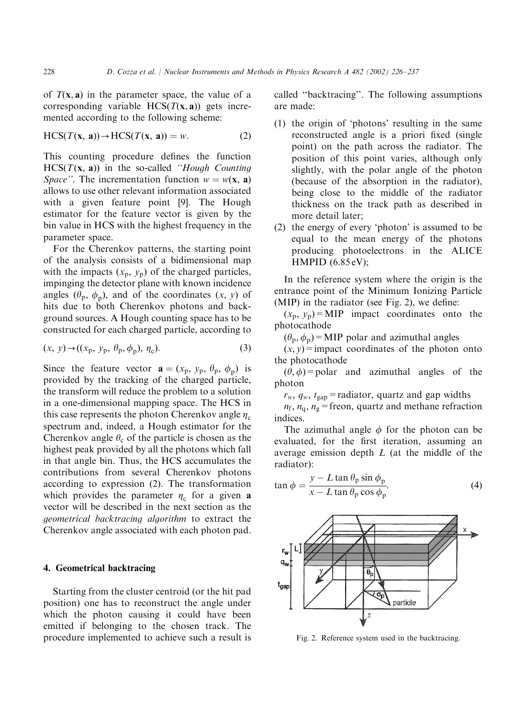of  $T(x, a)$  in the parameter space, the value of a corresponding variable  $HCS(T(x, a))$  gets incremented according to the following scheme:

$$
\text{HCS}(T(\mathbf{x}, \mathbf{a})) \to \text{HCS}(T(\mathbf{x}, \mathbf{a})) = w. \tag{2}
$$

This counting procedure defines the function  $HCS(T(x, a))$  in the so-called "Hough Counting" Space''. The incrementation function  $w = w(\mathbf{x}, \mathbf{a})$ allows to use other relevant information associated with a given feature point [9]. The Hough estimator for the feature vector is given by the bin value in HCS with the highest frequency in the parameter space.

For the Cherenkov patterns, the starting point of the analysis consists of a bidimensional map with the impacts  $(x_p, y_p)$  of the charged particles, impinging the detector plane with known incidence angles  $(\theta_p, \phi_p)$ , and of the coordinates  $(x, y)$  of hits due to both Cherenkov photons and background sources. A Hough counting space has to be constructed for each charged particle, according to

$$
(x, y) \rightarrow ((xp, yp, \thetap, \phip), \etac).
$$
 (3)

Since the feature vector  $\mathbf{a} = (x_p, y_p, \theta_p, \phi_p)$  is provided by the tracking of the charged particle, the transform will reduce the problem to a solution in a one-dimensional mapping space. The HCS in this case represents the photon Cherenkov angle  $\eta_c$ spectrum and, indeed, a Hough estimator for the Cherenkov angle  $\theta_c$  of the particle is chosen as the highest peak provided by all the photons which fall in that angle bin. Thus, the HCS accumulates the contributions from several Cherenkov photons according to expression  $(2)$ . The transformation which provides the parameter  $\eta_c$  for a given a vector will be described in the next section as the geometrical backtracing algorithm to extract the Cherenkov angle associated with each photon pad.

## 4. Geometrical backtracing

Starting from the cluster centroid (or the hit pad position) one has to reconstruct the angle under which the photon causing it could have been emitted if belonging to the chosen track. The procedure implemented to achieve such a result is called ''backtracing''. The following assumptions are made:

- (1) the origin of 'photons' resulting in the same reconstructed angle is a priori fixed (single point) on the path across the radiator. The position of this point varies, although only slightly, with the polar angle of the photon (because of the absorption in the radiator), being close to the middle of the radiator thickness on the track path as described in more detail later;
- (2) the energy of every 'photon' is assumed to be equal to the mean energy of the photons producing photoelectrons in the ALICE HMPID (6.85 eV);

In the reference system where the origin is the entrance point of the Minimum Ionizing Particle (MIP) in the radiator (see Fig. 2), we define:

 $(x_p, y_p)$ =MIP impact coordinates onto the photocathode

 $(\theta_p, \phi_p)$ =MIP polar and azimuthal angles

 $(x, y)$ =impact coordinates of the photon onto the photocathode

 $(\theta, \phi)$ =polar and azimuthal angles of the photon

 $r_w$ ,  $q_w$ ,  $t_{\text{gap}}$  = radiator, quartz and gap widths

 $n_f$ ,  $n_g$ ,  $n_g$  = freon, quartz and methane refraction indices.

The azimuthal angle  $\phi$  for the photon can be evaluated, for the first iteration, assuming an average emission depth L (at the middle of the radiator):

$$
\tan \phi = \frac{y - L \tan \theta_p \sin \phi_p}{x - L \tan \theta_p \cos \phi_p}.
$$
 (4)



Fig. 2. Reference system used in the backtracing.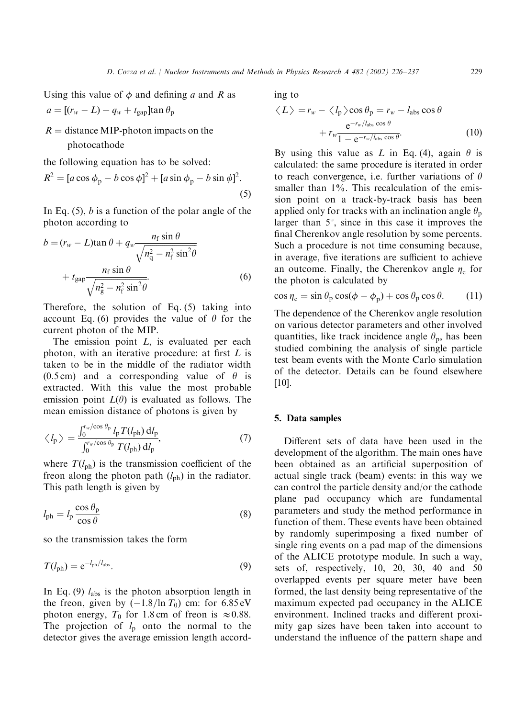Using this value of  $\phi$  and defining a and R as

$$
a = [(r_w - L) + q_w + t_{\text{gap}}] \tan \theta_p
$$

 $R =$  distance MIP-photon impacts on the photocathode

the following equation has to be solved:

$$
R2 = [a\cos\phip - b\cos\phi]2 + [a\sin\phip - b\sin\phi]2.
$$
\n(5)

In Eq.  $(5)$ , *b* is a function of the polar angle of the photon according to

$$
b = (r_w - L)\tan\theta + q_w \frac{n_f \sin\theta}{\sqrt{n_q^2 - n_f^2 \sin^2\theta}}
$$
  
+  $t_{\text{gap}} \frac{n_f \sin\theta}{\sqrt{n_g^2 - n_f^2 \sin^2\theta}}$ . (6)

Therefore, the solution of Eq.  $(5)$  taking into account Eq. (6) provides the value of  $\theta$  for the current photon of the MIP.

The emission point  $L$ , is evaluated per each photon, with an iterative procedure: at first L is taken to be in the middle of the radiator width (0.5 cm) and a corresponding value of  $\theta$  is extracted. With this value the most probable emission point  $L(\theta)$  is evaluated as follows. The mean emission distance of photons is given by

$$
\langle l_{\rm p} \rangle = \frac{\int_0^{r_{\rm w}/\cos \theta_{\rm p}} l_{\rm p} T(l_{\rm ph}) \, \mathrm{d} l_{\rm p}}{\int_0^{r_{\rm w}/\cos \theta_{\rm p}} T(l_{\rm ph}) \, \mathrm{d} l_{\rm p}},\tag{7}
$$

where  $T(l_{\rm ph})$  is the transmission coefficient of the freon along the photon path  $(l_{ph})$  in the radiator. This path length is given by

$$
l_{\rm ph} = l_{\rm p} \frac{\cos \theta_{\rm p}}{\cos \theta} \tag{8}
$$

so the transmission takes the form

$$
T(l_{\rm ph}) = e^{-l_{\rm ph}/l_{\rm abs}}.\tag{9}
$$

In Eq. (9)  $l_{\text{abs}}$  is the photon absorption length in the freon, given by  $(-1.8/\ln T_0)$  cm: for 6.85 eV photon energy,  $T_0$  for 1.8 cm of freon is  $\approx 0.88$ . The projection of  $l_p$  onto the normal to the detector gives the average emission length according to

$$
\langle L \rangle = r_w - \langle l_p \rangle \cos \theta_p = r_w - l_{\text{abs}} \cos \theta + r_w \frac{e^{-r_w/l_{\text{abs}} \cos \theta}}{1 - e^{-r_w/l_{\text{abs}} \cos \theta}}.
$$
(10)

By using this value as L in Eq. (4), again  $\theta$  is calculated: the same procedure is iterated in order to reach convergence, i.e. further variations of  $\theta$ smaller than 1%. This recalculation of the emission point on a track-by-track basis has been applied only for tracks with an inclination angle  $\theta_p$ larger than  $5^\circ$ , since in this case it improves the final Cherenkov angle resolution by some percents. Such a procedure is not time consuming because, in average, five iterations are sufficient to achieve an outcome. Finally, the Cherenkov angle  $\eta_c$  for the photon is calculated by

$$
\cos \eta_{\rm c} = \sin \theta_{\rm p} \cos(\phi - \phi_{\rm p}) + \cos \theta_{\rm p} \cos \theta. \tag{11}
$$

The dependence of the Cherenkov angle resolution on various detector parameters and other involved quantities, like track incidence angle  $\theta_p$ , has been studied combining the analysis of single particle test beam events with the Monte Carlo simulation of the detector. Details can be found elsewhere [10].

#### 5. Data samples

Different sets of data have been used in the development of the algorithm. The main ones have been obtained as an artificial superposition of actual single track (beam) events: in this way we can control the particle density and/or the cathode plane pad occupancy which are fundamental parameters and study the method performance in function of them. These events have been obtained by randomly superimposinga fixed number of single ring events on a pad map of the dimensions of the ALICE prototype module. In such a way, sets of, respectively, 10, 20, 30, 40 and 50 overlapped events per square meter have been formed, the last density being representative of the maximum expected pad occupancy in the ALICE environment. Inclined tracks and different proximity gap sizes have been taken into account to understand the influence of the pattern shape and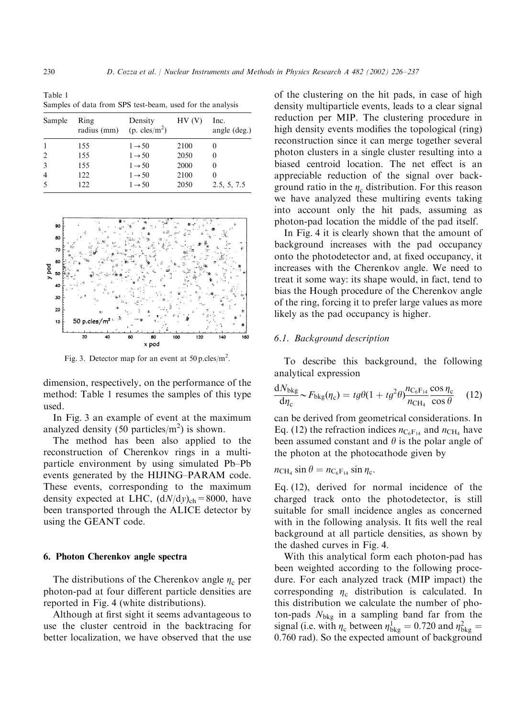Table 1 Samples of data from SPS test-beam, used for the analysis

| Sample         | Ring<br>radius (mm) | Density<br>$(p. \text{cles/m}^2)$ | HV(V) | Inc.<br>angle (deg.) |
|----------------|---------------------|-----------------------------------|-------|----------------------|
| 1              | 155                 | $1 \rightarrow 50$                | 2100  |                      |
| $\overline{2}$ | 155                 | $1 \rightarrow 50$                | 2050  | 0                    |
| 3              | 155                 | $1 \rightarrow 50$                | 2000  |                      |
| $\overline{4}$ | 122                 | $1 \rightarrow 50$                | 2100  |                      |
| 5              | 122                 | $1 \rightarrow 50$                | 2050  | 2.5, 5, 7.5          |



Fig. 3. Detector map for an event at  $50 \text{ p.cles/m}^2$ .

dimension, respectively, on the performance of the method: Table 1 resumes the samples of this type used.

In Fig. 3 an example of event at the maximum analyzed density  $(50 \text{ particles/m}^2)$  is shown.

The method has been also applied to the reconstruction of Cherenkov rings in a multiparticle environment by using simulated Pb–Pb events generated by the HIJING–PARAM code. These events, corresponding to the maximum density expected at LHC,  $(dN/dy)_{ch} = 8000$ , have been transported through the ALICE detector by using the GEANT code.

#### 6. Photon Cherenkovangle spectra

The distributions of the Cherenkov angle  $\eta_c$  per photon-pad at four different particle densities are reported in Fig. 4 (white distributions).

Although at first sight it seems advantageous to use the cluster centroid in the backtracing for better localization, we have observed that the use

of the clustering on the hit pads, in case of high density multiparticle events, leads to a clear signal reduction per MIP. The clustering procedure in high density events modifies the topological (ring) reconstruction since it can merge together several photon clusters in a single cluster resulting into a biased centroid location. The net effect is an appreciable reduction of the signal over background ratio in the  $\eta_c$  distribution. For this reason we have analyzed these multiring events taking into account only the hit pads, assuming as photon-pad location the middle of the pad itself.

In Fig. 4 it is clearly shown that the amount of background increases with the pad occupancy onto the photodetector and, at fixed occupancy, it increases with the Cherenkov angle. We need to treat it some way: its shape would, in fact, tend to bias the Hough procedure of the Cherenkov angle of the ring, forcing it to prefer large values as more likely as the pad occupancy is higher.

#### 6.1. Background description

To describe this background, the following analytical expression

$$
\frac{dN_{\text{bkg}}}{d\eta_{\text{c}}} \sim F_{\text{bkg}}(\eta_{\text{c}}) = t g \theta (1 + t g^2 \theta) \frac{n_{\text{C}_6 \text{F}_{14}} \cos \eta_{\text{c}}}{n_{\text{CH}_4} \cos \theta} \quad (12)
$$

can be derived from geometrical considerations. In Eq. (12) the refraction indices  $n_{C_6F_{14}}$  and  $n_{CH_4}$  have been assumed constant and  $\theta$  is the polar angle of the photon at the photocathode given by

$$
n_{\rm CH_4} \sin \theta = n_{\rm C_6F_{14}} \sin \eta_c.
$$

Eq. (12), derived for normal incidence of the charged track onto the photodetector, is still suitable for small incidence angles as concerned with in the following analysis. It fits well the real background at all particle densities, as shown by the dashed curves in Fig. 4.

With this analytical form each photon-pad has been weighted according to the following procedure. For each analyzed track (MIP impact) the corresponding  $\eta_c$  distribution is calculated. In this distribution we calculate the number of photon-pads  $N_{bkg}$  in a sampling band far from the signal (i.e. with  $\eta_c$  between  $\eta_{\text{bkg}}^1 = 0.720$  and  $\eta_{\text{bkg}}^2 =$ 0:760 rad). So the expected amount of background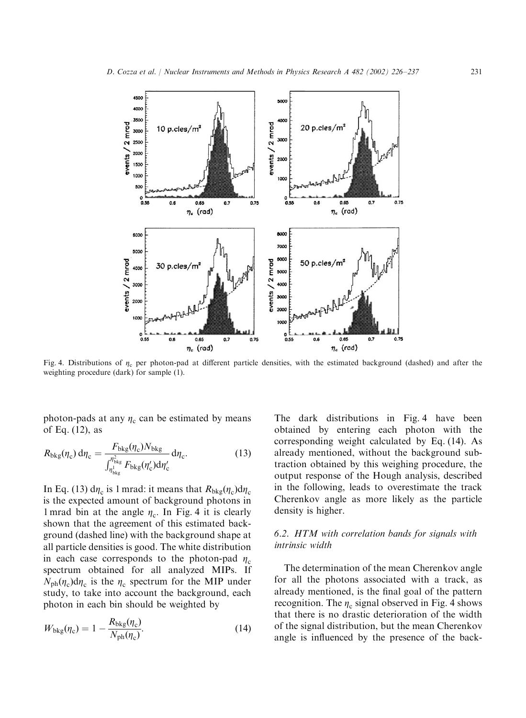

Fig. 4. Distributions of  $\eta_c$  per photon-pad at different particle densities, with the estimated background (dashed) and after the weighting procedure (dark) for sample (1).

photon-pads at any  $\eta_c$  can be estimated by means of Eq. (12), as

$$
R_{\text{bkg}}(\eta_{\text{c}}) d\eta_{\text{c}} = \frac{F_{\text{bkg}}(\eta_{\text{c}}) N_{\text{bkg}}}{\int_{\eta_{\text{bkg}}^1}^{\eta_{\text{bkg}}^2} F_{\text{bkg}}(\eta_{\text{c}}') d\eta_{\text{c}}'} d\eta_{\text{c}}.
$$
 (13)

In Eq. (13)  $d\eta_c$  is 1 mrad: it means that  $R_{bkg}(\eta_c)d\eta_c$ is the expected amount of background photons in 1 mrad bin at the angle  $\eta_c$ . In Fig. 4 it is clearly shown that the agreement of this estimated background (dashed line) with the background shape at all particle densities is good. The white distribution in each case corresponds to the photon-pad  $\eta_c$ spectrum obtained for all analyzed MIPs. If  $N_{\rm ph}(\eta_{\rm c})d\eta_{\rm c}$  is the  $\eta_{\rm c}$  spectrum for the MIP under study, to take into account the background, each photon in each bin should be weighted by

$$
W_{\text{bkg}}(\eta_{\text{c}}) = 1 - \frac{R_{\text{bkg}}(\eta_{\text{c}})}{N_{\text{ph}}(\eta_{\text{c}})}.
$$
\n(14)

The dark distributions in Fig. 4 have been obtained by entering each photon with the corresponding weight calculated by Eq. (14). As already mentioned, without the background subtraction obtained by this weighing procedure, the output response of the Hough analysis, described in the following, leads to overestimate the track Cherenkov angle as more likely as the particle density is higher.

# 6.2. HTM with correlation bands for signals with intrinsic width

The determination of the mean Cherenkov angle for all the photons associated with a track, as already mentioned, is the final goal of the pattern recognition. The  $\eta_c$  signal observed in Fig. 4 shows that there is no drastic deterioration of the width of the signal distribution, but the mean Cherenkov angle is influenced by the presence of the back-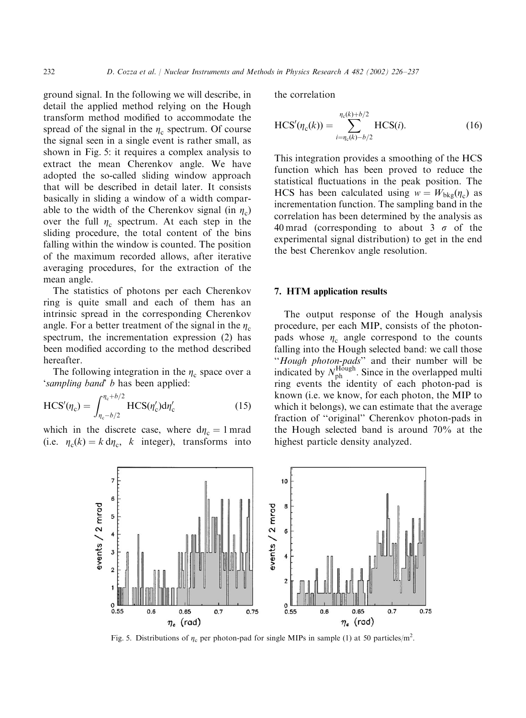ground signal. In the following we will describe, in detail the applied method relying on the Hough transform method modified to accommodate the spread of the signal in the  $\eta_c$  spectrum. Of course the signal seen in a single event is rather small, as shown in Fig. 5: it requires a complex analysis to extract the mean Cherenkov angle. We have adopted the so-called sliding window approach that will be described in detail later. It consists basically in slidinga window of a width comparable to the width of the Cherenkov signal (in  $\eta_c$ ) over the full  $\eta_c$  spectrum. At each step in the sliding procedure, the total content of the bins falling within the window is counted. The position of the maximum recorded allows, after iterative averaging procedures, for the extraction of the mean angle.

The statistics of photons per each Cherenkov ring is quite small and each of them has an intrinsic spread in the corresponding Cherenkov angle. For a better treatment of the signal in the  $\eta_c$ spectrum, the incrementation expression (2) has been modified according to the method described hereafter.

The following integration in the  $\eta_c$  space over a 'sampling band' b has been applied:

$$
HCS'(\eta_c) = \int_{\eta_c - b/2}^{\eta_c + b/2} HCS(\eta_c') d\eta_c' \tag{15}
$$

which in the discrete case, where  $d\eta_c = 1$  mrad (i.e.  $\eta_c(k) = k \, d\eta_c$ , k integer), transforms into the correlation

$$
HCS'(\eta_c(k)) = \sum_{i=\eta_c(k)-b/2}^{\eta_c(k)+b/2} HCS(i).
$$
 (16)

This integration provides a smoothing of the HCS function which has been proved to reduce the statistical fluctuations in the peak position. The HCS has been calculated using  $w = W_{bkg}(\eta_c)$  as incrementation function. The sampling band in the correlation has been determined by the analysis as 40 mrad (corresponding to about 3  $\sigma$  of the experimental signal distribution) to get in the end the best Cherenkov angle resolution.

#### 7. HTM application results

The output response of the Hough analysis procedure, per each MIP, consists of the photonpads whose  $\eta_c$  angle correspond to the counts falling into the Hough selected band: we call those ''Hough photon-pads'' and their number will be indicated by  $N_{\text{ph}}^{\text{H\ddot{o}ugh}}$ . Since in the overlapped multi ring events the identity of each photon-pad is known (i.e. we know, for each photon, the MIP to which it belongs), we can estimate that the average fraction of ''original'' Cherenkov photon-pads in the Hough selected band is around 70% at the highest particle density analyzed.



Fig. 5. Distributions of  $\eta_c$  per photon-pad for single MIPs in sample (1) at 50 particles/m<sup>2</sup>.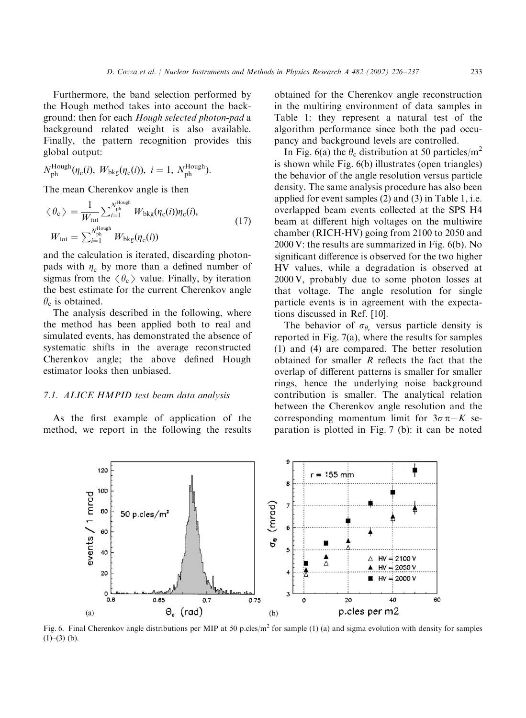Furthermore, the band selection performed by the Hough method takes into account the background: then for each Hough selected photon-pad a background related weight is also available. Finally, the pattern recognition provides this global output:

$$
N_{\text{ph}}^{\text{Hough}}(\eta_{\text{c}}(i), W_{\text{bkg}}(\eta_{\text{c}}(i)), i = 1, N_{\text{ph}}^{\text{Hough}}).
$$

The mean Cherenkov angle is then

$$
\langle \theta_{\rm c} \rangle = \frac{1}{W_{\rm tot}} \sum_{i=1}^{N_{\rm ph}^{\rm Hough}} W_{\rm bkg}(\eta_{\rm c}(i)) \eta_{\rm c}(i),
$$
  

$$
W_{\rm tot} = \sum_{i=1}^{N_{\rm ph}^{\rm Hough}} W_{\rm bkg}(\eta_{\rm c}(i))
$$
 (17)

and the calculation is iterated, discarding photonpads with  $\eta_c$  by more than a defined number of sigmas from the  $\langle \theta_c \rangle$  value. Finally, by iteration the best estimate for the current Cherenkov angle  $\theta_c$  is obtained.

The analysis described in the following, where the method has been applied both to real and simulated events, has demonstrated the absence of systematic shifts in the average reconstructed Cherenkov angle; the above defined Hough estimator looks then unbiased.

# 7.1. ALICE HMPID test beam data analysis

As the first example of application of the method, we report in the following the results obtained for the Cherenkov angle reconstruction in the multiring environment of data samples in Table 1: they represent a natural test of the algorithm performance since both the pad occupancy and background levels are controlled.

In Fig. 6(a) the  $\theta_c$  distribution at 50 particles/m<sup>2</sup> is shown while Fig. 6(b) illustrates (open triangles) the behavior of the angle resolution versus particle density. The same analysis procedure has also been applied for event samples (2) and (3) in Table 1, i.e. overlapped beam events collected at the SPS H4 beam at different high voltages on the multiwire chamber (RICH-HV) going from 2100 to 2050 and 2000 V: the results are summarized in Fig. 6(b). No significant difference is observed for the two higher HV values, while a degradation is observed at 2000 V, probably due to some photon losses at that voltage. The angle resolution for single particle events is in agreement with the expectations discussed in Ref. [10].

The behavior of  $\sigma_{\theta_c}$  versus particle density is reported in Fig. 7(a), where the results for samples (1) and (4) are compared. The better resolution obtained for smaller R reflects the fact that the overlap of different patterns is smaller for smaller rings, hence the underlying noise background contribution is smaller. The analytical relation between the Cherenkov angle resolution and the corresponding momentum limit for  $3\sigma \pi - K$  separation is plotted in Fig. 7 (b): it can be noted



Fig. 6. Final Cherenkov angle distributions per MIP at 50 p.cles/m<sup>2</sup> for sample (1) (a) and sigma evolution with density for samples  $(1)$ – $(3)$  (b).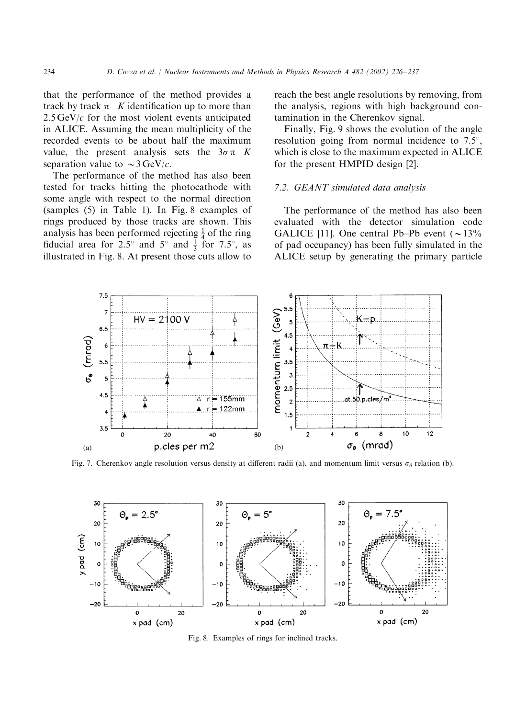that the performance of the method provides a track by track  $\pi$ –K identification up to more than  $2.5 \,\text{GeV}/c$  for the most violent events anticipated in ALICE. Assuming the mean multiplicity of the recorded events to be about half the maximum value, the present analysis sets the  $3\sigma \pi - K$ separation value to  $\sim$  3 GeV/c.

The performance of the method has also been tested for tracks hitting the photocathode with some angle with respect to the normal direction (samples (5) in Table 1). In Fig. 8 examples of rings produced by those tracks are shown. This analysis has been performed rejecting  $\frac{1}{4}$  of the ring fiducial area for 2.5° and  $5^{\circ}$  and  $\frac{1}{3}$  for 7.5°, as illustrated in Fig. 8. At present those cuts allow to reach the best angle resolutions by removing, from the analysis, regions with high background contamination in the Cherenkov signal.

Finally, Fig. 9 shows the evolution of the angle resolution going from normal incidence to  $7.5^{\circ}$ , which is close to the maximum expected in ALICE for the present HMPID design [2].

# 7.2. GEANT simulated data analysis

The performance of the method has also been evaluated with the detector simulation code GALICE [11]. One central Pb–Pb event  $(\sim 13\%$ of pad occupancy) has been fully simulated in the ALICE setup by generating the primary particle



Fig. 7. Cherenkov angle resolution versus density at different radii (a), and momentum limit versus  $\sigma_{\theta}$  relation (b).



Fig. 8. Examples of rings for inclined tracks.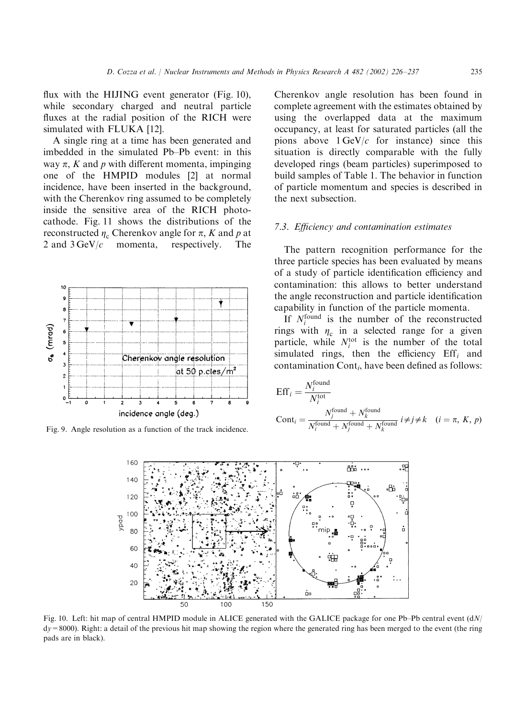flux with the HIJING event generator (Fig. 10), while secondary charged and neutral particle fluxes at the radial position of the RICH were simulated with FLUKA [12].

A single ring at a time has been generated and imbedded in the simulated Pb–Pb event: in this way  $\pi$ , K and p with different momenta, impinging one of the HMPID modules [2] at normal incidence, have been inserted in the background, with the Cherenkov ring assumed to be completely inside the sensitive area of the RICH photocathode. Fig. 11 shows the distributions of the reconstructed  $\eta_c$  Cherenkov angle for  $\pi$ , K and p at 2 and 3 GeV/c momenta, respectively. The 2 and  $3 \text{GeV}/c$  momenta,



Fig. 9. Angle resolution as a function of the track incidence.

Cherenkov angle resolution has been found in complete agreement with the estimates obtained by using the overlapped data at the maximum occupancy, at least for saturated particles (all the pions above  $1 \text{ GeV}/c$  for instance) since this situation is directly comparable with the fully developed rings (beam particles) superimposed to build samples of Table 1. The behavior in function of particle momentum and species is described in the next subsection.

#### 7.3. Efficiency and contamination estimates

The pattern recognition performance for the three particle species has been evaluated by means of a study of particle identification efficiency and contamination: this allows to better understand the angle reconstruction and particle identification capability in function of the particle momenta.

If  $N_i^{\text{found}}$  is the number of the reconstructed rings with  $\eta_c$  in a selected range for a given particle, while  $N_i^{\text{tot}}$  is the number of the total simulated rings, then the efficiency  $Eff_i$  and contamination  $Cont_i$ , have been defined as follows:

$$
Effi = \frac{Nifound}{Nitotal}
$$
  
Cont<sub>i</sub> =  $\frac{Njfound + Nkfound}{Nifound + Njfound + Nkfound} i \neq j \neq k$  (i =  $\pi$ , K, p)



Fig. 10. Left: hit map of central HMPID module in ALICE generated with the GALICE package for one Pb–Pb central event (dN/ dy=8000). Right: a detail of the previous hit map showing the region where the generated ring has been merged to the event (the ring pads are in black).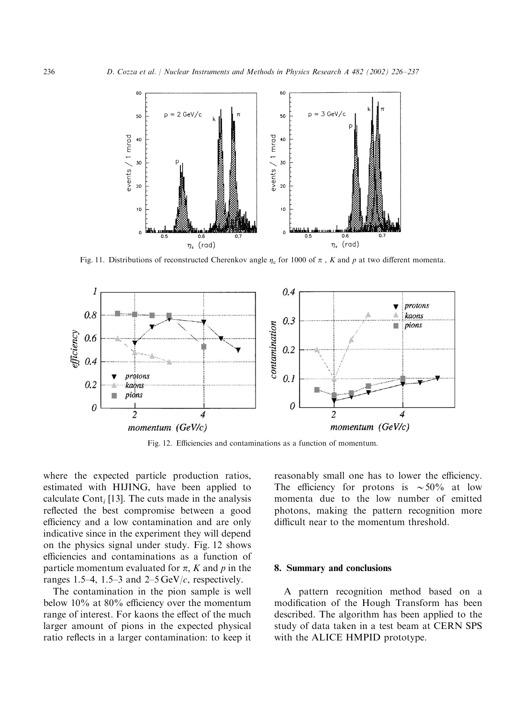

Fig. 11. Distributions of reconstructed Cherenkov angle  $\eta_c$  for 1000 of  $\pi$ , K and p at two different momenta.



Fig. 12. Efficiencies and contaminations as a function of momentum.

where the expected particle production ratios, estimated with HIJING, have been applied to calculate Cont<sub>i</sub> [13]. The cuts made in the analysis reflected the best compromise between a good efficiency and a low contamination and are only indicative since in the experiment they will depend on the physics signal under study. Fig. 12 shows efficiencies and contaminations as a function of particle momentum evaluated for  $\pi$ , K and p in the ranges 1.5–4, 1.5–3 and  $2-5 \,\text{GeV}/c$ , respectively.

The contamination in the pion sample is well below 10% at 80% efficiency over the momentum range of interest. For kaons the effect of the much larger amount of pions in the expected physical ratio reflects in a larger contamination: to keep it

reasonably small one has to lower the efficiency. The efficiency for protons is  $\sim 50\%$  at low momenta due to the low number of emitted photons, making the pattern recognition more difficult near to the momentum threshold.

## 8. Summary and conclusions

A pattern recognition method based on a modification of the Hough Transform has been described. The algorithm has been applied to the study of data taken in a test beam at CERN SPS with the ALICE HMPID prototype.